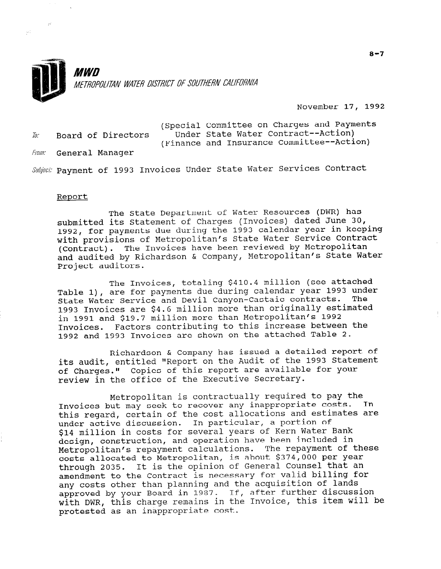

November 17, 1992

| To: | Board of Directors    | (Special Committee on Charges and Payments<br>Under State Water Contract--Action)<br>(Finance and Insurance Committee--Action) |
|-----|-----------------------|--------------------------------------------------------------------------------------------------------------------------------|
|     | From: General Manager |                                                                                                                                |

Subject: Payment of 1993 Invoices Under State Water Services Contract

#### Report

 $\sim 10$ 

The State Department of Water Resources (DWR) has submitted its Statement of Charges (Invoices) dated June 30, 1992, for payments due during the 1993 calendar year in keeping with provisions of Metropolitan's State Water Service Contract (Contract). The Invoices have been reviewed by Metropolitan and audited by Richardson & Company, Metropolitan's State Water Project auditors.

The Invoices, totaling \$410.4 million (see attached Table l), are for payments due during calendar year 1993 under State Water Service and Devil Canyon-Castaic contracts. The 1993 Invoices are \$4.6 million more than originally estimated in 1991 and \$19.7 million more than Metropolitan's 1992 Invoices. Factors contributing to this increase between the 1992 and 1993 Invoices are shown on the attached Table 2.

Richardson & Company has issued a detailed report of its audit, entitled "Report on the Audit of the 1993 Statement of Charges." Copies of this report are available for your review in the office of the Executive Secretary.

Metropolitan is contractually required to pay the Invoices but may seek to recover any inappropriate costs. this regard, certain of the cost allocations and estimates are under active discussion. In particular, a portion of \$14 million in costs for several years of Kern Water Bank design, construction, and operation have been included in Metropolitan's repayment calculations. The repayment of these costs allocated to Metropolitan, is about \$374,000 per year through 2035. It is the opinion of General Counsel that an amendment to the Contract is necessary for valid billing for any costs other than planning and the acquisition of lands approved by your Board in 1987. If, after further discussion with DWR, this charge remains in the Invoice, this item will be protested as an inappropriate cost.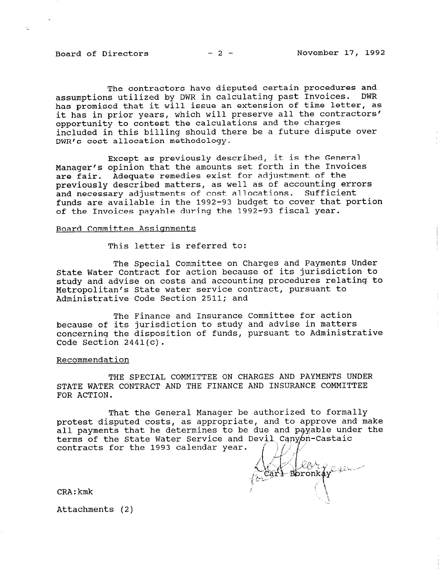The contractors have disputed certain procedures and assumptions utilized by DWR in calculating past Invoices. DWR has promised that it will issue an extension of time letter, as it has in prior years, which will preserve all the contractors' opportunity to contest the calculations and the charges included in this billing should there be a future dispute over DWR's cost allocation methodology.

Except as previously described, it is the General Manager's opinion that the amounts set forth in the Invoices are fair. Adequate remedies exist for adjustment of the previously described matters, as well as of accounting errors and necessary adjustments of cost allocations. Sufficient funds are available in the 1992-93 budget to cover that portion of the Invoices payable during the 1992-93 fiscal year.

# Board Committee Assignments

This letter is referred to:

The Special Committee on Charges and Payments Under State Water Contract for action because of its jurisdiction to study and advise on costs and accounting procedures relating to Metropolitan's State water service contract, pursuant to Administrative Code Section 2511; and

The Finance and Insurance Committee for action because of its jurisdiction to study and advise in matters concerning the disposition of funds, pursuant to Administrative Code Section 2441(c).

### Recommendation

THE SPECIAL COMMITTEE ON CHARGES AND PAYMENTS UNDER STATE WATER CONTRACT AND THE FINANCE AND INSURANCE COMMITTEE FOR ACTION.

That the General Manager be authorized to formally protest disputed costs, as appropriate, and to appropriate disputed disputed contract industry protest disputed costs, as appropriate, and to approve and make all payments that he determines to be due and payable under the<br>terms of the State Water Service and Devil Canyon-Castaic contracts for the 1993 calendar year.

Carl levine

CRA:kmk

Attachments (2)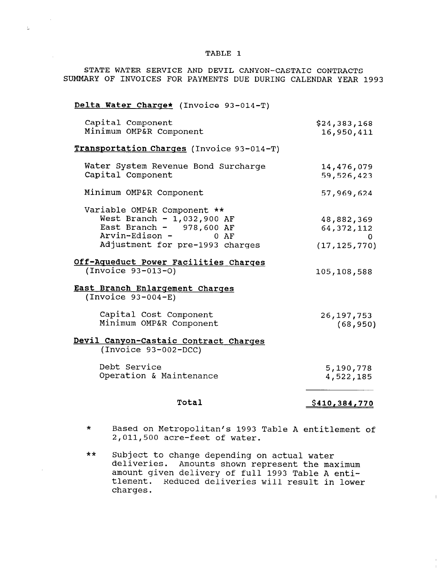## TABLE 1

 $\mathbb{D}^{\mathbb{Z}}$ 

STATE WATER SERVICE AND DEVIL CANYON-CASTAIC CONTRACTS SUMMARY OF INVOICES FOR PAYMENTS DUE DURING CALENDAR YEAR 1993

| Delta Water Charge* (Invoice 93-014-T)                                                                                |                            |
|-----------------------------------------------------------------------------------------------------------------------|----------------------------|
| Capital Component<br>Minimum OMP&R Component                                                                          | \$24,383,168<br>16,950,411 |
| Transportation Charges (Invoice 93-014-T)                                                                             |                            |
| Water System Revenue Bond Surcharge<br>Capital Component                                                              | 14,476,079<br>59,526,423   |
| Minimum OMP&R Component                                                                                               | 57,969,624                 |
| Variable OMP&R Component **<br>West Branch - $1,032,900$ AF<br>East Branch - $978,600$ AF<br>Arvin-Edison -<br>$0$ AF | 48,882,369<br>64, 372, 112 |
| Adjustment for pre-1993 charges                                                                                       | 0.<br>(17, 125, 770)       |
| Off-Aqueduct Power Facilities Charges<br>$( Invoice 93 - 013 - 0)$                                                    | 105,108,588                |
| East Branch Enlargement Charges<br>$( Invoice 93-004-E)$                                                              |                            |
| Capital Cost Component<br>Minimum OMP&R Component                                                                     | 26, 197, 753<br>(68, 950)  |
| Devil Canyon-Castaic Contract Charges<br>$(Invoice 93-002-DCC)$                                                       |                            |
| Debt Service<br>Operation & Maintenance                                                                               | 5,190,778<br>4,522,185     |
| Total                                                                                                                 | <u>\$410,384,770</u>       |

- \* Based on Metropolitan's 1993 Table A entitlement of 2,011,500 acre-feet of water.
- $\ddot{x}$  Subject to change depending on a turn on a control water depending on a control water depending on a control water  $\ddot{x}$ deliveries. Amounts shown represent the matter deliveries. Amounts shown represent the maximum amount given delivery of full 1993 Table A entitlement. Reduced deliveries will result in lower charges.

l.